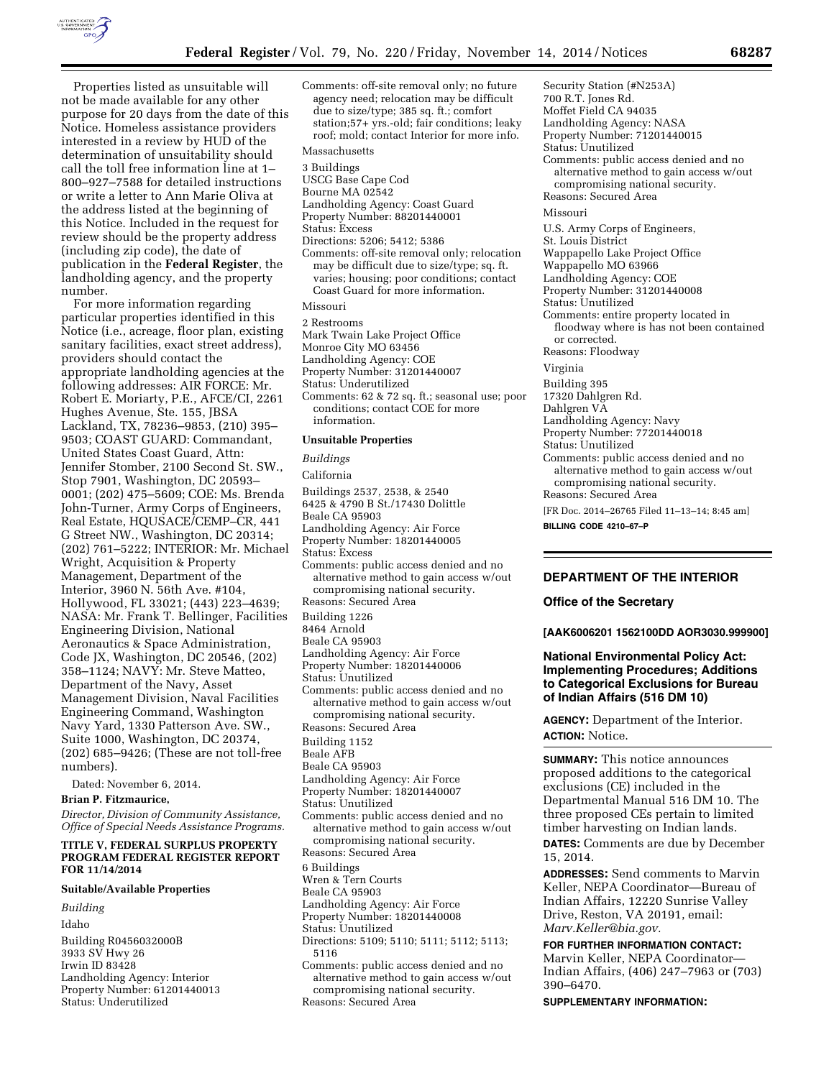

Properties listed as unsuitable will not be made available for any other purpose for 20 days from the date of this Notice. Homeless assistance providers interested in a review by HUD of the determination of unsuitability should call the toll free information line at 1– 800–927–7588 for detailed instructions or write a letter to Ann Marie Oliva at the address listed at the beginning of this Notice. Included in the request for review should be the property address (including zip code), the date of publication in the **Federal Register**, the landholding agency, and the property number.

For more information regarding particular properties identified in this Notice (i.e., acreage, floor plan, existing sanitary facilities, exact street address), providers should contact the appropriate landholding agencies at the following addresses: AIR FORCE: Mr. Robert E. Moriarty, P.E., AFCE/CI, 2261 Hughes Avenue, Ste. 155, JBSA Lackland, TX, 78236–9853, (210) 395– 9503; COAST GUARD: Commandant, United States Coast Guard, Attn: Jennifer Stomber, 2100 Second St. SW., Stop 7901, Washington, DC 20593– 0001; (202) 475–5609; COE: Ms. Brenda John-Turner, Army Corps of Engineers, Real Estate, HQUSACE/CEMP–CR, 441 G Street NW., Washington, DC 20314; (202) 761–5222; INTERIOR: Mr. Michael Wright, Acquisition & Property Management, Department of the Interior, 3960 N. 56th Ave. #104, Hollywood, FL 33021; (443) 223–4639; NASA: Mr. Frank T. Bellinger, Facilities Engineering Division, National Aeronautics & Space Administration, Code JX, Washington, DC 20546, (202) 358–1124; NAVY: Mr. Steve Matteo, Department of the Navy, Asset Management Division, Naval Facilities Engineering Command, Washington Navy Yard, 1330 Patterson Ave. SW., Suite 1000, Washington, DC 20374, (202) 685–9426; (These are not toll-free numbers).

Dated: November 6, 2014.

# **Brian P. Fitzmaurice,**

*Director, Division of Community Assistance, Office of Special Needs Assistance Programs.* 

### **TITLE V, FEDERAL SURPLUS PROPERTY PROGRAM FEDERAL REGISTER REPORT FOR 11/14/2014**

#### **Suitable/Available Properties**

*Building*  Idaho Building R0456032000B 3933 SV Hwy 26 Irwin ID 83428 Landholding Agency: Interior Property Number: 61201440013 Status: Underutilized

- Comments: off-site removal only; no future agency need; relocation may be difficult due to size/type; 385 sq. ft.; comfort station;57+ yrs.-old; fair conditions; leaky roof; mold; contact Interior for more info.
- Massachusetts
- 3 Buildings USCG Base Cape Cod
- Bourne MA 02542
- Landholding Agency: Coast Guard
- Property Number: 88201440001
- Status: Excess
- Directions: 5206; 5412; 5386
- Comments: off-site removal only; relocation may be difficult due to size/type; sq. ft. varies; housing; poor conditions; contact Coast Guard for more information.

## Missouri

- 2 Restrooms
- Mark Twain Lake Project Office
- Monroe City MO 63456
- Landholding Agency: COE
- Property Number: 31201440007
- Status: Underutilized
- Comments: 62 & 72 sq. ft.; seasonal use; poor conditions; contact COE for more
- information.

## **Unsuitable Properties**

*Buildings* 

California

- Buildings 2537, 2538, & 2540
- 6425 & 4790 B St./17430 Dolittle
- Beale CA 95903
- Landholding Agency: Air Force
- Property Number: 18201440005 Status: Excess
- 
- Comments: public access denied and no alternative method to gain access w/out compromising national security. Reasons: Secured Area
- Building 1226
- 8464 Arnold
- Beale CA 95903
- Landholding Agency: Air Force
- Property Number: 18201440006
- Status: Unutilized
- Comments: public access denied and no alternative method to gain access w/out compromising national security.
- Reasons: Secured Area
- Building 1152
- Beale AFB
- Beale CA 95903
- Landholding Agency: Air Force
- Property Number: 18201440007
- Status: Unutilized
- Comments: public access denied and no alternative method to gain access w/out compromising national security.
- Reasons: Secured Area
- 6 Buildings
- Wren & Tern Courts
- Beale CA 95903
- Landholding Agency: Air Force
- Property Number: 18201440008
- Status: Unutilized
- Directions: 5109; 5110; 5111; 5112; 5113;
- 5116

Comments: public access denied and no alternative method to gain access w/out compromising national security. Reasons: Secured Area

Security Station (#N253A) 700 R.T. Jones Rd. Moffet Field CA 94035 Landholding Agency: NASA Property Number: 71201440015 Status: Unutilized Comments: public access denied and no alternative method to gain access w/out compromising national security. Reasons: Secured Area Missouri U.S. Army Corps of Engineers, St. Louis District Wappapello Lake Project Office Wappapello MO 63966 Landholding Agency: COE Property Number: 31201440008 Status: Unutilized Comments: entire property located in floodway where is has not been contained or corrected. Reasons: Floodway Virginia Building 395 17320 Dahlgren Rd. Dahlgren VA Landholding Agency: Navy Property Number: 77201440018 Status: Unutilized Comments: public access denied and no alternative method to gain access w/out compromising national security. Reasons: Secured Area

[FR Doc. 2014–26765 Filed 11–13–14; 8:45 am]

**BILLING CODE 4210–67–P** 

## **DEPARTMENT OF THE INTERIOR**

#### **Office of the Secretary**

**[AAK6006201 1562100DD AOR3030.999900]** 

# **National Environmental Policy Act: Implementing Procedures; Additions to Categorical Exclusions for Bureau of Indian Affairs (516 DM 10)**

**AGENCY:** Department of the Interior. **ACTION:** Notice.

**SUMMARY:** This notice announces proposed additions to the categorical exclusions (CE) included in the Departmental Manual 516 DM 10. The three proposed CEs pertain to limited timber harvesting on Indian lands.

**DATES:** Comments are due by December 15, 2014.

**ADDRESSES:** Send comments to Marvin Keller, NEPA Coordinator—Bureau of Indian Affairs, 12220 Sunrise Valley Drive, Reston, VA 20191, email: *[Marv.Keller@bia.gov.](mailto:Marv.Keller@bia.gov)* 

**FOR FURTHER INFORMATION CONTACT:**  Marvin Keller, NEPA Coordinator— Indian Affairs, (406) 247–7963 or (703) 390–6470.

**SUPPLEMENTARY INFORMATION:**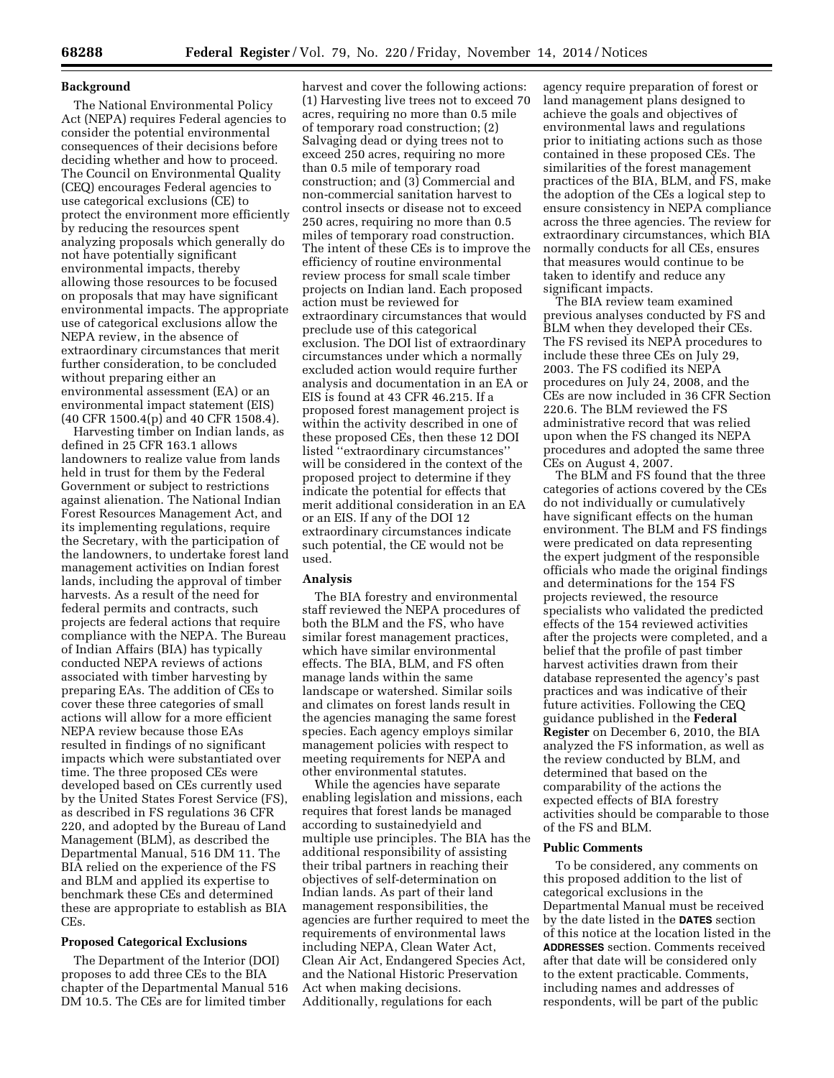## **Background**

The National Environmental Policy Act (NEPA) requires Federal agencies to consider the potential environmental consequences of their decisions before deciding whether and how to proceed. The Council on Environmental Quality (CEQ) encourages Federal agencies to use categorical exclusions (CE) to protect the environment more efficiently by reducing the resources spent analyzing proposals which generally do not have potentially significant environmental impacts, thereby allowing those resources to be focused on proposals that may have significant environmental impacts. The appropriate use of categorical exclusions allow the NEPA review, in the absence of extraordinary circumstances that merit further consideration, to be concluded without preparing either an environmental assessment (EA) or an environmental impact statement (EIS) (40 CFR 1500.4(p) and 40 CFR 1508.4).

Harvesting timber on Indian lands, as defined in 25 CFR 163.1 allows landowners to realize value from lands held in trust for them by the Federal Government or subject to restrictions against alienation. The National Indian Forest Resources Management Act, and its implementing regulations, require the Secretary, with the participation of the landowners, to undertake forest land management activities on Indian forest lands, including the approval of timber harvests. As a result of the need for federal permits and contracts, such projects are federal actions that require compliance with the NEPA. The Bureau of Indian Affairs (BIA) has typically conducted NEPA reviews of actions associated with timber harvesting by preparing EAs. The addition of CEs to cover these three categories of small actions will allow for a more efficient NEPA review because those EAs resulted in findings of no significant impacts which were substantiated over time. The three proposed CEs were developed based on CEs currently used by the United States Forest Service (FS), as described in FS regulations 36 CFR 220, and adopted by the Bureau of Land Management (BLM), as described the Departmental Manual, 516 DM 11. The BIA relied on the experience of the FS and BLM and applied its expertise to benchmark these CEs and determined these are appropriate to establish as BIA CEs.

#### **Proposed Categorical Exclusions**

The Department of the Interior (DOI) proposes to add three CEs to the BIA chapter of the Departmental Manual 516 DM 10.5. The CEs are for limited timber

harvest and cover the following actions: (1) Harvesting live trees not to exceed 70 acres, requiring no more than 0.5 mile of temporary road construction; (2) Salvaging dead or dying trees not to exceed 250 acres, requiring no more than 0.5 mile of temporary road construction; and (3) Commercial and non-commercial sanitation harvest to control insects or disease not to exceed 250 acres, requiring no more than 0.5 miles of temporary road construction. The intent of these CEs is to improve the efficiency of routine environmental review process for small scale timber projects on Indian land. Each proposed action must be reviewed for extraordinary circumstances that would preclude use of this categorical exclusion. The DOI list of extraordinary circumstances under which a normally excluded action would require further analysis and documentation in an EA or EIS is found at 43 CFR 46.215. If a proposed forest management project is within the activity described in one of these proposed CEs, then these 12 DOI listed ''extraordinary circumstances'' will be considered in the context of the proposed project to determine if they indicate the potential for effects that merit additional consideration in an EA or an EIS. If any of the DOI 12 extraordinary circumstances indicate such potential, the CE would not be used.

### **Analysis**

The BIA forestry and environmental staff reviewed the NEPA procedures of both the BLM and the FS, who have similar forest management practices, which have similar environmental effects. The BIA, BLM, and FS often manage lands within the same landscape or watershed. Similar soils and climates on forest lands result in the agencies managing the same forest species. Each agency employs similar management policies with respect to meeting requirements for NEPA and other environmental statutes.

While the agencies have separate enabling legislation and missions, each requires that forest lands be managed according to sustainedyield and multiple use principles. The BIA has the additional responsibility of assisting their tribal partners in reaching their objectives of self-determination on Indian lands. As part of their land management responsibilities, the agencies are further required to meet the requirements of environmental laws including NEPA, Clean Water Act, Clean Air Act, Endangered Species Act, and the National Historic Preservation Act when making decisions. Additionally, regulations for each

agency require preparation of forest or land management plans designed to achieve the goals and objectives of environmental laws and regulations prior to initiating actions such as those contained in these proposed CEs. The similarities of the forest management practices of the BIA, BLM, and FS, make the adoption of the CEs a logical step to ensure consistency in NEPA compliance across the three agencies. The review for extraordinary circumstances, which BIA normally conducts for all CEs, ensures that measures would continue to be taken to identify and reduce any significant impacts.

The BIA review team examined previous analyses conducted by FS and BLM when they developed their CEs. The FS revised its NEPA procedures to include these three CEs on July 29, 2003. The FS codified its NEPA procedures on July 24, 2008, and the CEs are now included in 36 CFR Section 220.6. The BLM reviewed the FS administrative record that was relied upon when the FS changed its NEPA procedures and adopted the same three CEs on August 4, 2007.

The BLM and FS found that the three categories of actions covered by the CEs do not individually or cumulatively have significant effects on the human environment. The BLM and FS findings were predicated on data representing the expert judgment of the responsible officials who made the original findings and determinations for the 154 FS projects reviewed, the resource specialists who validated the predicted effects of the 154 reviewed activities after the projects were completed, and a belief that the profile of past timber harvest activities drawn from their database represented the agency's past practices and was indicative of their future activities. Following the CEQ guidance published in the **Federal Register** on December 6, 2010, the BIA analyzed the FS information, as well as the review conducted by BLM, and determined that based on the comparability of the actions the expected effects of BIA forestry activities should be comparable to those of the FS and BLM.

### **Public Comments**

To be considered, any comments on this proposed addition to the list of categorical exclusions in the Departmental Manual must be received by the date listed in the **DATES** section of this notice at the location listed in the **ADDRESSES** section. Comments received after that date will be considered only to the extent practicable. Comments, including names and addresses of respondents, will be part of the public